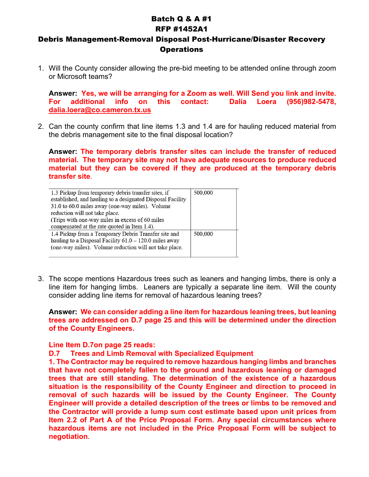## Batch Q & A #1 RFP #1452A1

## Debris Management-Removal Disposal Post-Hurricane/Disaster Recovery **Operations**

1. Will the County consider allowing the pre-bid meeting to be attended online through zoom or Microsoft teams?

**Answer: Yes, we will be arranging for a Zoom as well. Will Send you link and invite. For additional info on this contact: Dalia Loera (956)982-5478, [dalia.loera@co.cameron.tx.us](mailto:dalia.loera@co.cameron.tx.us)**

2. Can the county confirm that line items 1.3 and 1.4 are for hauling reduced material from the debris management site to the final disposal location?

**Answer: The temporary debris transfer sites can include the transfer of reduced material. The temporary site may not have adequate resources to produce reduced material but they can be covered if they are produced at the temporary debris transfer site**.

| 1.3 Pickup from temporary debris transfer sites, if<br>established, and hauling to a designated Disposal Facility<br>31.0 to 60.0 miles away (one-way miles). Volume       | 500,000 |
|----------------------------------------------------------------------------------------------------------------------------------------------------------------------------|---------|
| reduction will not take place.                                                                                                                                             |         |
| (Trips with one-way miles in excess of 60 miles)                                                                                                                           |         |
| compensated at the rate quoted in Item 1.4).                                                                                                                               |         |
| 1.4 Pickup from a Temporary Debris Transfer site and<br>hauling to a Disposal Facility $61.0 - 120.0$ miles away<br>(one-way miles). Volume reduction will not take place. | 500,000 |

3. The scope mentions Hazardous trees such as leaners and hanging limbs, there is only a line item for hanging limbs. Leaners are typically a separate line item. Will the county consider adding line items for removal of hazardous leaning trees?

**Answer: We can consider adding a line item for hazardous leaning trees, but leaning trees are addressed on D.7 page 25 and this will be determined under the direction of the County Engineers.**

**Line Item D.7on page 25 reads:** 

## **D.7 Trees and Limb Removal with Specialized Equipment**

**1. The Contractor may be required to remove hazardous hanging limbs and branches that have not completely fallen to the ground and hazardous leaning or damaged trees that are still standing. The determination of the existence of a hazardous situation is the responsibility of the County Engineer and direction to proceed in removal of such hazards will be issued by the County Engineer. The County Engineer will provide a detailed description of the trees or limbs to be removed and the Contractor will provide a lump sum cost estimate based upon unit prices from Item 2.2 of Part A of the Price Proposal Form. Any special circumstances where hazardous items are not included in the Price Proposal Form will be subject to negotiation**.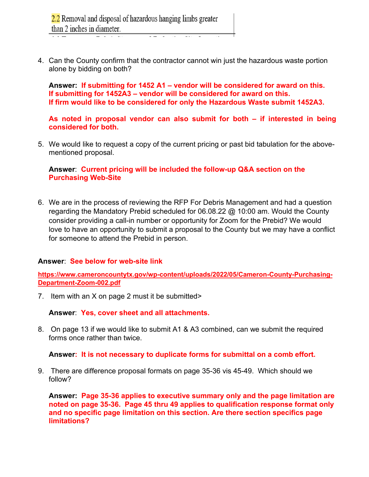4. Can the County confirm that the contractor cannot win just the hazardous waste portion alone by bidding on both?

**Answer: If submitting for 1452 A1 – vendor will be considered for award on this. If submitting for 1452A3 – vendor will be considered for award on this. If firm would like to be considered for only the Hazardous Waste submit 1452A3.** 

**As noted in proposal vendor can also submit for both – if interested in being considered for both.** 

5. We would like to request a copy of the current pricing or past bid tabulation for the abovementioned proposal.

**Answer**: **Current pricing will be included the follow-up Q&A section on the Purchasing Web-Site**

6. We are in the process of reviewing the RFP For Debris Management and had a question regarding the Mandatory Prebid scheduled for 06.08.22 @ 10:00 am. Would the County consider providing a call-in number or opportunity for Zoom for the Prebid? We would love to have an opportunity to submit a proposal to the County but we may have a conflict for someone to attend the Prebid in person.

## **Answer**: **See below for web-site link**

**[https://www.cameroncountytx.gov/wp-content/uploads/2022/05/Cameron-County-Purchasing-](https://www.cameroncountytx.gov/wp-content/uploads/2022/05/Cameron-County-Purchasing-Department-Zoom-002.pdf)[Department-Zoom-002.pdf](https://www.cameroncountytx.gov/wp-content/uploads/2022/05/Cameron-County-Purchasing-Department-Zoom-002.pdf)**

7. Item with an X on page 2 must it be submitted>

**Answer**: **Yes, cover sheet and all attachments.**

8. On page 13 if we would like to submit A1 & A3 combined, can we submit the required forms once rather than twice.

**Answer: It is not necessary to duplicate forms for submittal on a comb effort.** 

9. There are difference proposal formats on page 35-36 vis 45-49. Which should we follow?

**Answer: Page 35-36 applies to executive summary only and the page limitation are noted on page 35-36. Page 45 thru 49 applies to qualification response format only and no specific page limitation on this section. Are there section specifics page limitations?**